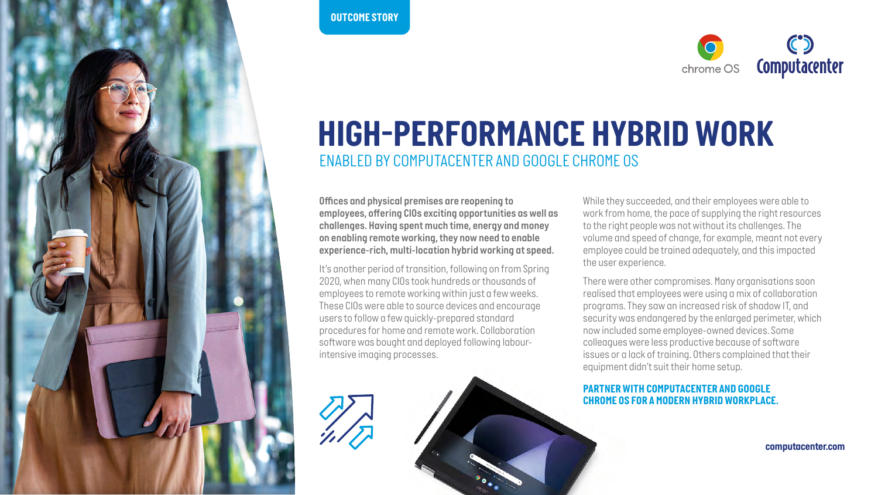



## *HIGH-PERFORMANCE HYBRID WORK ENABLED BY COMPUTACENTER AND GOOGLE CHROME OS*

*Offices and physical premises are reopening to employees, offering CIOs exciting opportunities as well as challenges. Having spent much time, energy and money on enabling remote working, they now need to enable experience-rich, multi-location hybrid working at speed.* 

*It's another period of transition, following on from Spring 2020, when many CIOs took hundreds or thousands of employees to remote working within just a few weeks. These CIOs were able to source devices and encourage users to follow a few quickly-prepared standard procedures for home and remote work. Collaboration software was bought and deployed following labourintensive imaging processes.* 

*While they succeeded, and their employees were able to work from home, the pace of supplying the right resources to the right people was not without its challenges. The volume and speed of change, for example, meant not every employee could be trained adequately, and this impacted the user experience.*

*There were other compromises. Many organisations soon realised that employees were using a mix of collaboration programs. They saw an increased risk of shadow IT, and security was endangered by the enlarged perimeter, which now included some employee-owned devices. Some colleagues were less productive because of software issues or a lack of training. Others complained that their equipment didn't suit their home setup.*

## *PARTNER WITH COMPUTACENTER AND GOOGLE CHROME OS FOR A MODERN HYBRID WORKPLACE.*